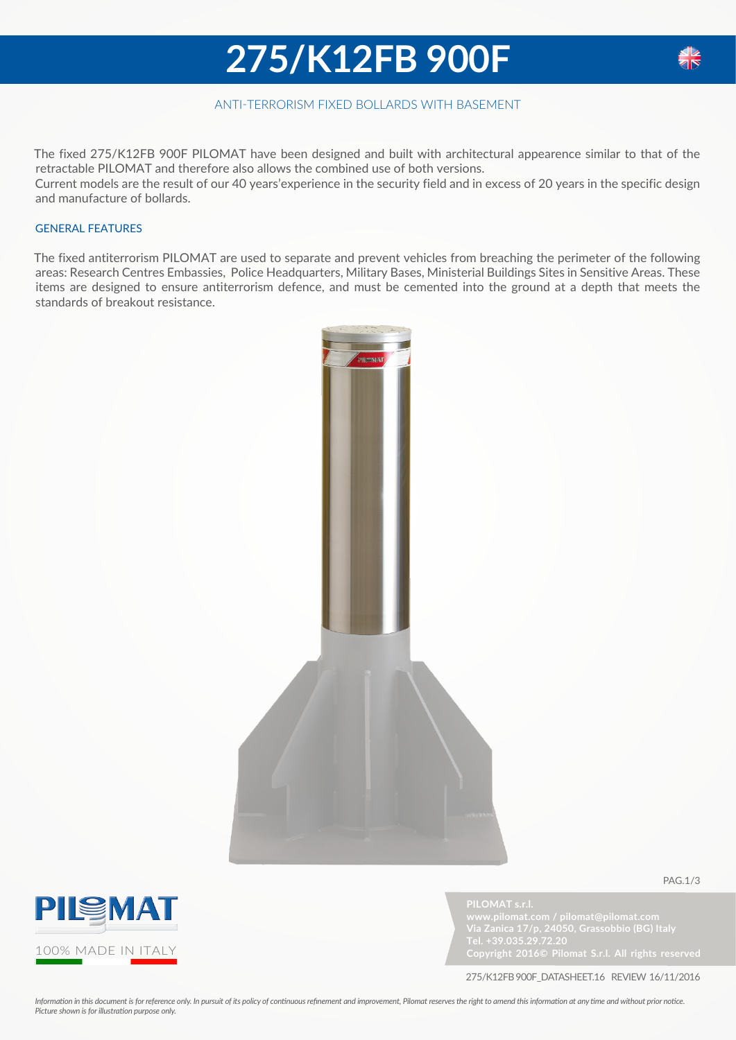### **275/K12FB 900F**



The fixed 275/K12FB 900F PILOMAT have been designed and built with architectural appearence similar to that of the retractable PILOMAT and therefore also allows the combined use of both versions. Current models are the result of our 40 years'experience in the security field and in excess of 20 years in the specific design and manufacture of bollards.

#### GENERAL FEATURES

The fixed antiterrorism PILOMAT are used to separate and prevent vehicles from breaching the perimeter of the following areas: Research Centres Embassies, Police Headquarters, Military Bases, Ministerial Buildings Sites in Sensitive Areas. These items are designed to ensure antiterrorism defence, and must be cemented into the ground at a depth that meets the standards of breakout resistance.





**PILOMAT s.r.l.**

**Tel. +39.035.29.72.20**

pag.1/3

275/K12FB 900F\_datasheet.16 review 16/11/2016

*Information in this document is for reference only. In pursuit of its policy of continuous refinement and improvement, Pilomat reserves the right to amend this information at any time and without prior notice. Picture shown is for illustration purpose only.* 

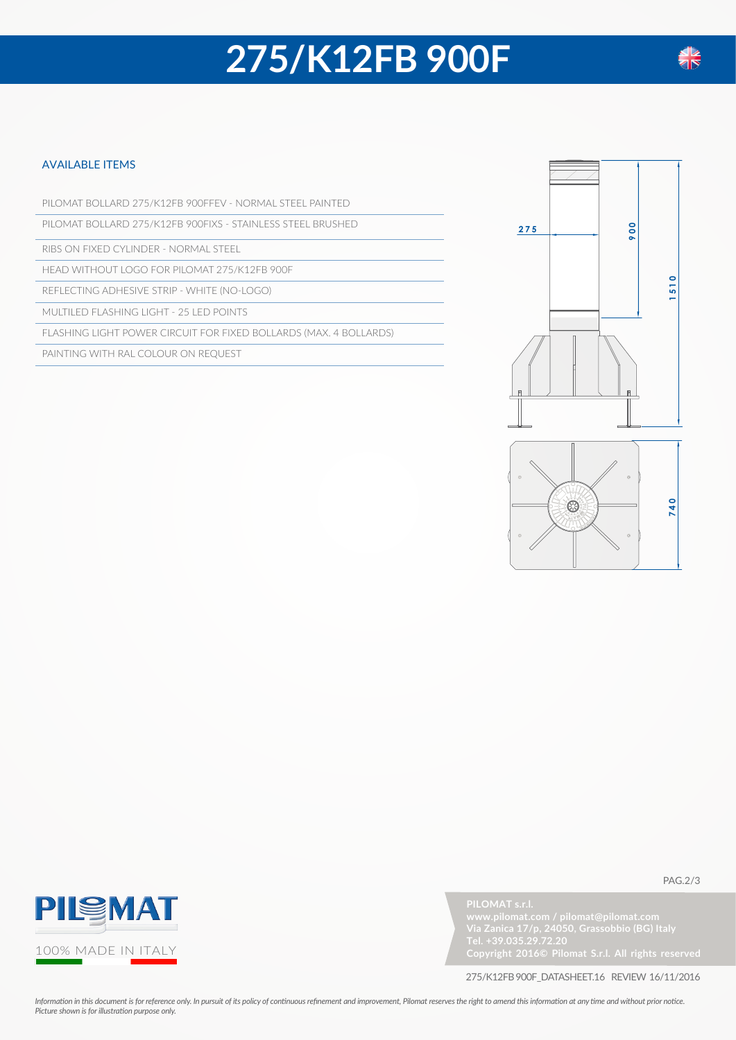# **275/K12FB 900F**

#### available items

PILOMAT BOLLARD 275/K12FB 900FFEV - NORMAL STEEL PAINTED

PILOMAT BOLLARD 275/K12FB 900FIXS - STAINLESS STEEL BRUSHED

RIBS ON FIXED CYLINDER - NORMAL STEEL

HEAD WITHOUT LOGO FOR PILOMAT 275/K12FB 900F

REFLECTING ADHESIVE STRIP - WHITE (NO-LOGO)

MULTILED FLASHING LIGHT - 25 LED POINTS

FLASHING LIGHT POWER CIRCUIT FOR FIXED BOLLARDS (MAX. 4 BOLLARDS)

PAINTING WITH RAL COLOUR ON REQUEST



 $\epsilon$ 



**Tel. +39.035.29.72.20**

pag.2/3

275/K12FB 900F\_datasheet.16 review 16/11/2016

*Information in this document is for reference only. In pursuit of its policy of continuous refinement and improvement, Pilomat reserves the right to amend this information at any time and without prior notice. Picture shown is for illustration purpose only.*